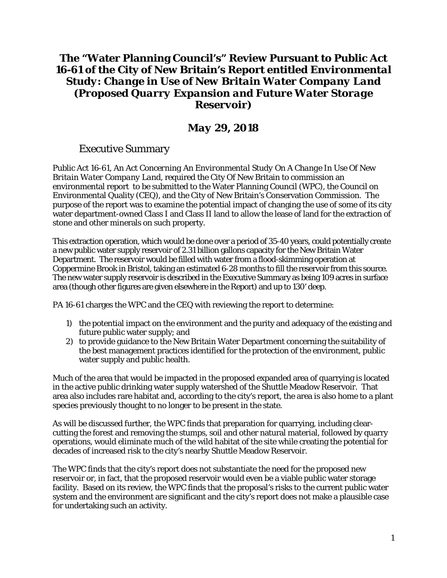# **The "Water Planning Council's" Review Pursuant to Public Act 16-61 of the City of New Britain's Report entitled** *Environmental Study: Change in Use of New Britain Water Company Land (Proposed Quarry Expansion and Future Water Storage Reservoir)*

# *May 29, 2018*

## Executive Summary

Public Act 16-61, *An Act Concerning An Environmental Study On A Change In Use Of New Britain Water Company Land*, required the City Of New Britain to commission an environmental report to be submitted to the Water Planning Council (WPC), the Council on Environmental Quality (CEQ), and the City of New Britain's Conservation Commission. The purpose of the report was to examine the potential impact of changing the use of some of its city water department-owned Class I and Class II land to allow the lease of land for the extraction of stone and other minerals on such property.

This extraction operation, which would be done over a period of 35-40 years, could potentially create a new public water supply reservoir of 2.31 billion gallons capacity for the New Britain Water Department. The reservoir would be filled with water from a flood-skimming operation at Coppermine Brook in Bristol, taking an estimated 6-28 months to fill the reservoir from this source. The new water supply reservoir is described in the Executive Summary as being 109 acres in surface area (though other figures are given elsewhere in the Report) and up to 130' deep.

PA 16-61 charges the WPC and the CEQ with reviewing the report to determine:

- 1) the potential impact on the environment and the purity and adequacy of the existing and future public water supply; and
- 2) to provide guidance to the New Britain Water Department concerning the suitability of the best management practices identified for the protection of the environment, public water supply and public health.

Much of the area that would be impacted in the proposed expanded area of quarrying is located in the active public drinking water supply watershed of the Shuttle Meadow Reservoir. That area also includes rare habitat and, according to the city's report, the area is also home to a plant species previously thought to no longer to be present in the state.

As will be discussed further, the WPC finds that preparation for quarrying, including clearcutting the forest and removing the stumps, soil and other natural material, followed by quarry operations, would eliminate much of the wild habitat of the site while creating the potential for decades of increased risk to the city's nearby Shuttle Meadow Reservoir.

The WPC finds that the city's report does not substantiate the need for the proposed new reservoir or, in fact, that the proposed reservoir would even be a viable public water storage facility. Based on its review, the WPC finds that the proposal's risks to the current public water system and the environment are significant and the city's report does not make a plausible case for undertaking such an activity.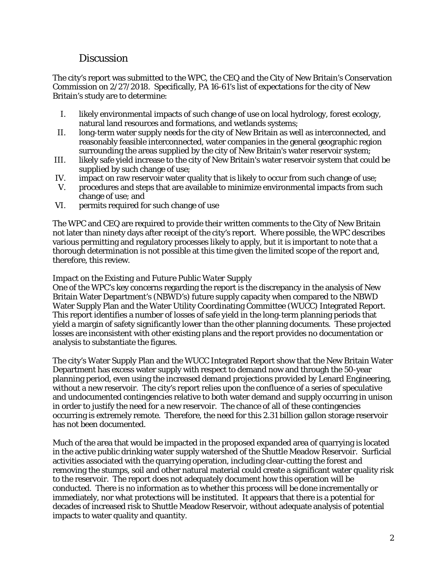## **Discussion**

The city's report was submitted to the WPC, the CEQ and the City of New Britain's Conservation Commission on 2/27/2018. Specifically, PA 16-61's list of expectations for the city of New Britain's study are to determine:

- I. likely environmental impacts of such change of use on local hydrology, forest ecology, natural land resources and formations, and wetlands systems;
- II. long-term water supply needs for the city of New Britain as well as interconnected, and reasonably feasible interconnected, water companies in the general geographic region surrounding the areas supplied by the city of New Britain's water reservoir system;
- III. likely safe yield increase to the city of New Britain's water reservoir system that could be supplied by such change of use;
- IV. impact on raw reservoir water quality that is likely to occur from such change of use;
- V. procedures and steps that are available to minimize environmental impacts from such change of use; and
- VI. permits required for such change of use

The WPC and CEQ are required to provide their written comments to the City of New Britain not later than ninety days after receipt of the city's report. Where possible, the WPC describes various permitting and regulatory processes likely to apply, but it is important to note that a thorough determination is not possible at this time given the limited scope of the report and, therefore, this review.

## *Impact on the Existing and Future Public Water Supply*

One of the WPC's key concerns regarding the report is the discrepancy in the analysis of New Britain Water Department's (NBWD's) future supply capacity when compared to the NBWD Water Supply Plan and the Water Utility Coordinating Committee (WUCC) Integrated Report. This report identifies a number of losses of safe yield in the long-term planning periods that yield a margin of safety significantly lower than the other planning documents. These projected losses are inconsistent with other existing plans and the report provides no documentation or analysis to substantiate the figures.

The city's Water Supply Plan and the WUCC Integrated Report show that the New Britain Water Department has excess water supply with respect to demand now and through the 50-year planning period, even using the increased demand projections provided by Lenard Engineering, without a new reservoir. The city's report relies upon the confluence of a series of speculative and undocumented contingencies relative to both water demand and supply occurring in unison in order to justify the need for a new reservoir. The chance of all of these contingencies occurring is extremely remote. Therefore, the need for this 2.31 billion gallon storage reservoir has not been documented.

Much of the area that would be impacted in the proposed expanded area of quarrying is located in the active public drinking water supply watershed of the Shuttle Meadow Reservoir. Surficial activities associated with the quarrying operation, including clear-cutting the forest and removing the stumps, soil and other natural material could create a significant water quality risk to the reservoir. The report does not adequately document how this operation will be conducted. There is no information as to whether this process will be done incrementally or immediately, nor what protections will be instituted. It appears that there is a potential for decades of increased risk to Shuttle Meadow Reservoir, without adequate analysis of potential impacts to water quality and quantity.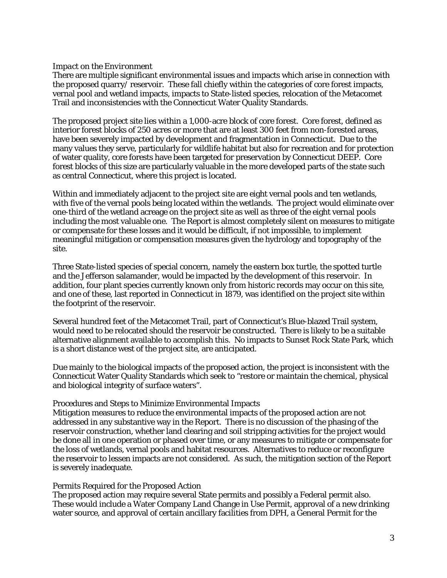### *Impact on the Environment*

There are multiple significant environmental issues and impacts which arise in connection with the proposed quarry/ reservoir. These fall chiefly within the categories of core forest impacts, vernal pool and wetland impacts, impacts to State-listed species, relocation of the Metacomet Trail and inconsistencies with the Connecticut Water Quality Standards.

The proposed project site lies within a 1,000-acre block of core forest. Core forest, defined as interior forest blocks of 250 acres or more that are at least 300 feet from non-forested areas, have been severely impacted by development and fragmentation in Connecticut. Due to the many values they serve, particularly for wildlife habitat but also for recreation and for protection of water quality, core forests have been targeted for preservation by Connecticut DEEP. Core forest blocks of this size are particularly valuable in the more developed parts of the state such as central Connecticut, where this project is located.

Within and immediately adjacent to the project site are eight vernal pools and ten wetlands, with five of the vernal pools being located within the wetlands. The project would eliminate over one-third of the wetland acreage on the project site as well as three of the eight vernal pools including the most valuable one. The Report is almost completely silent on measures to mitigate or compensate for these losses and it would be difficult, if not impossible, to implement meaningful mitigation or compensation measures given the hydrology and topography of the site.

Three State-listed species of special concern, namely the eastern box turtle, the spotted turtle and the Jefferson salamander, would be impacted by the development of this reservoir. In addition, four plant species currently known only from historic records may occur on this site, and one of these, last reported in Connecticut in 1879, was identified on the project site within the footprint of the reservoir.

Several hundred feet of the Metacomet Trail, part of Connecticut's Blue-blazed Trail system, would need to be relocated should the reservoir be constructed. There is likely to be a suitable alternative alignment available to accomplish this. No impacts to Sunset Rock State Park, which is a short distance west of the project site, are anticipated.

Due mainly to the biological impacts of the proposed action, the project is inconsistent with the Connecticut Water Quality Standards which seek to "restore or maintain the chemical, physical and biological integrity of surface waters".

#### Procedures and Steps to Minimize Environmental Impacts

Mitigation measures to reduce the environmental impacts of the proposed action are not addressed in any substantive way in the Report. There is no discussion of the phasing of the reservoir construction, whether land clearing and soil stripping activities for the project would be done all in one operation or phased over time, or any measures to mitigate or compensate for the loss of wetlands, vernal pools and habitat resources. Alternatives to reduce or reconfigure the reservoir to lessen impacts are not considered. As such, the mitigation section of the Report is severely inadequate.

#### Permits Required for the Proposed Action

The proposed action may require several State permits and possibly a Federal permit also. These would include a Water Company Land Change in Use Permit, approval of a new drinking water source, and approval of certain ancillary facilities from DPH, a General Permit for the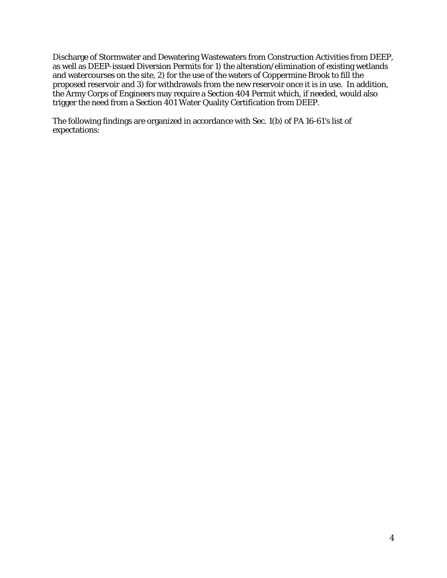Discharge of Stormwater and Dewatering Wastewaters from Construction Activities from DEEP, as well as DEEP-issued Diversion Permits for 1) the alteration/elimination of existing wetlands and watercourses on the site, 2) for the use of the waters of Coppermine Brook to fill the proposed reservoir and 3) for withdrawals from the new reservoir once it is in use. In addition, the Army Corps of Engineers may require a Section 404 Permit which, if needed, would also trigger the need from a Section 401 Water Quality Certification from DEEP.

The following findings are organized in accordance with Sec. 1(b) of PA 16-61's list of expectations: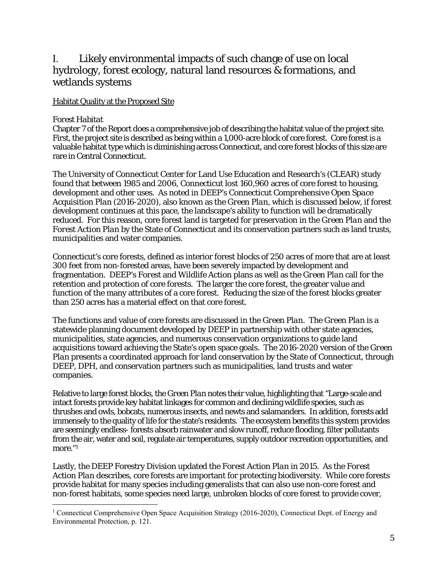# I. Likely environmental impacts of such change of use on local hydrology, forest ecology, natural land resources & formations, and wetlands systems

### Habitat Quality at the Proposed Site

### *Forest Habitat*

 $\overline{a}$ 

Chapter 7 of the Report does a comprehensive job of describing the habitat value of the project site. First, the project site is described as being within a 1,000-acre block of core forest. Core forest is a valuable habitat type which is diminishing across Connecticut, and core forest blocks of this size are rare in Central Connecticut.

The University of Connecticut Center for Land Use Education and Research's (CLEAR) study found that between 1985 and 2006, Connecticut lost 160,960 acres of core forest to housing, development and other uses. As noted in DEEP's *Connecticut Comprehensive Open Space Acquisition Plan (2016-2020),* also known as the *Green Plan,* which is discussed below, if forest development continues at this pace, the landscape's ability to function will be dramatically reduced. For this reason, core forest land is targeted for preservation in the *Green Plan* and the *Forest Action Plan* by the State of Connecticut and its conservation partners such as land trusts, municipalities and water companies.

Connecticut's core forests, defined as interior forest blocks of 250 acres of more that are at least 300 feet from non-forested areas, have been severely impacted by development and fragmentation. DEEP's *Forest* and *Wildlife Action* plans as well as the *Green Plan* call for the retention and protection of core forests. The larger the core forest, the greater value and function of the many attributes of a core forest. Reducing the size of the forest blocks greater than 250 acres has a material effect on that core forest.

The functions and value of core forests are discussed in the *Green Plan.* The *Green Plan* is a statewide planning document developed by DEEP in partnership with other state agencies, municipalities, state agencies, and numerous conservation organizations to guide land acquisitions toward achieving the State's open space goals. The 2016-2020 version of the *Green Plan* presents a coordinated approach for land conservation by the State of Connecticut, through DEEP, DPH, and conservation partners such as municipalities, land trusts and water companies.

Relative to large forest blocks, the *Green Plan* notes their value, highlighting that "Large-scale and intact forests provide key habitat linkages for common and declining wildlife species, such as thrushes and owls, bobcats, numerous insects, and newts and salamanders. In addition, forests add immensely to the quality of life for the state's residents. The ecosystem benefits this system provides are seemingly endless- forests absorb rainwater and slow runoff, reduce flooding, filter pollutants from the air, water and soil, regulate air temperatures, supply outdoor recreation opportunities, and more."<sup>1</sup>

Lastly, the DEEP Forestry Division updated the *Forest Action Plan* in 2015. As the *Forest Action Plan* describes, core forests are important for protecting biodiversity. While core forests provide habitat for many species including generalists that can also use non-core forest and non-forest habitats, some species need large, unbroken blocks of core forest to provide cover,

<sup>&</sup>lt;sup>1</sup> Connecticut Comprehensive Open Space Acquisition Strategy (2016-2020), Connecticut Dept. of Energy and Environmental Protection, p. 121.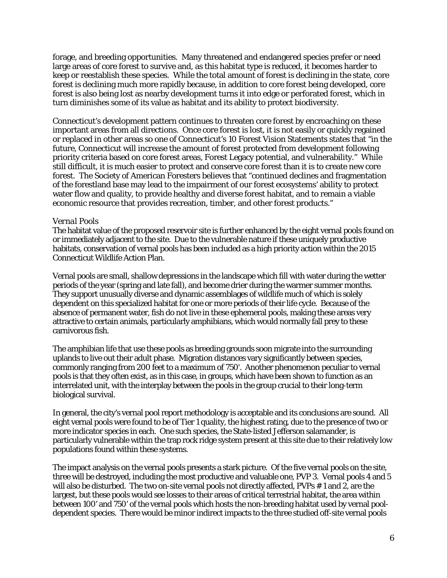forage, and breeding opportunities. Many threatened and endangered species prefer or need large areas of core forest to survive and, as this habitat type is reduced, it becomes harder to keep or reestablish these species. While the total amount of forest is declining in the state, core forest is declining much more rapidly because, in addition to core forest being developed, core forest is also being lost as nearby development turns it into edge or perforated forest, which in turn diminishes some of its value as habitat and its ability to protect biodiversity.

Connecticut's development pattern continues to threaten core forest by encroaching on these important areas from all directions. Once core forest is lost, it is not easily or quickly regained or replaced in other areas so one of Connecticut's 10 Forest Vision Statements states that "in the future, Connecticut will increase the amount of forest protected from development following priority criteria based on core forest areas, Forest Legacy potential, and vulnerability." While still difficult, it is much easier to protect and conserve core forest than it is to create new core forest. The Society of American Foresters believes that "continued declines and fragmentation of the forestland base may lead to the impairment of our forest ecosystems' ability to protect water flow and quality, to provide healthy and diverse forest habitat, and to remain a viable economic resource that provides recreation, timber, and other forest products."

### *Vernal Pools*

The habitat value of the proposed reservoir site is further enhanced by the eight vernal pools found on or immediately adjacent to the site. Due to the vulnerable nature if these uniquely productive habitats, conservation of vernal pools has been included as a high priority action within the 2015 Connecticut Wildlife Action Plan.

Vernal pools are small, shallow depressions in the landscape which fill with water during the wetter periods of the year (spring and late fall), and become drier during the warmer summer months. They support unusually diverse and dynamic assemblages of wildlife much of which is solely dependent on this specialized habitat for one or more periods of their life cycle. Because of the absence of permanent water, fish do not live in these ephemeral pools, making these areas very attractive to certain animals, particularly amphibians, which would normally fall prey to these carnivorous fish.

The amphibian life that use these pools as breeding grounds soon migrate into the surrounding uplands to live out their adult phase. Migration distances vary significantly between species, commonly ranging from 200 feet to a maximum of 750'. Another phenomenon peculiar to vernal pools is that they often exist, as in this case, in groups, which have been shown to function as an interrelated unit, with the interplay between the pools in the group crucial to their long-term biological survival.

In general, the city's vernal pool report methodology is acceptable and its conclusions are sound. All eight vernal pools were found to be of Tier 1 quality, the highest rating, due to the presence of two or more indicator species in each. One such species, the State-listed Jefferson salamander, is particularly vulnerable within the trap rock ridge system present at this site due to their relatively low populations found within these systems.

The impact analysis on the vernal pools presents a stark picture. Of the five vernal pools on the site, three will be destroyed, including the most productive and valuable one, PVP 3. Vernal pools 4 and 5 will also be disturbed. The two on-site vernal pools not directly affected, PVPs # 1 and 2, are the largest, but these pools would see losses to their areas of critical terrestrial habitat, the area within between 100' and 750' of the vernal pools which hosts the non-breeding habitat used by vernal pooldependent species. There would be minor indirect impacts to the three studied off-site vernal pools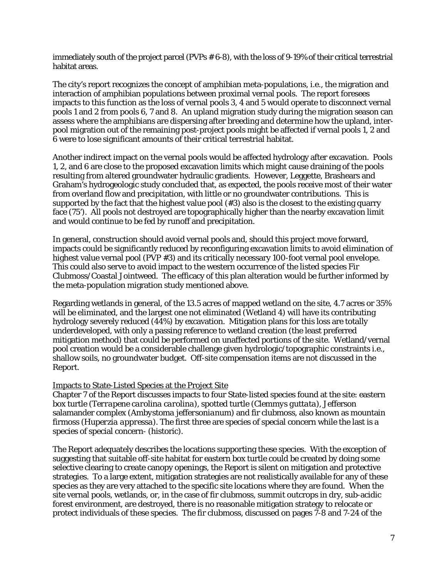immediately south of the project parcel (PVPs # 6-8), with the loss of 9-19% of their critical terrestrial habitat areas.

The city's report recognizes the concept of amphibian meta-populations, i.e., the migration and interaction of amphibian populations between proximal vernal pools. The report foresees impacts to this function as the loss of vernal pools 3, 4 and 5 would operate to disconnect vernal pools 1 and 2 from pools 6, 7 and 8. An upland migration study during the migration season can assess where the amphibians are dispersing after breeding and determine how the upland, interpool migration out of the remaining post-project pools might be affected if vernal pools 1, 2 and 6 were to lose significant amounts of their critical terrestrial habitat.

Another indirect impact on the vernal pools would be affected hydrology after excavation. Pools 1, 2, and 6 are close to the proposed excavation limits which might cause draining of the pools resulting from altered groundwater hydraulic gradients. However, Leggette, Brashears and Graham's hydrogeologic study concluded that, as expected, the pools receive most of their water from overland flow and precipitation, with little or no groundwater contributions. This is supported by the fact that the highest value pool (#3) also is the closest to the existing quarry face (75'). All pools not destroyed are topographically higher than the nearby excavation limit and would continue to be fed by runoff and precipitation.

In general, construction should avoid vernal pools and, should this project move forward, impacts could be significantly reduced by reconfiguring excavation limits to avoid elimination of highest value vernal pool (PVP #3) and its critically necessary 100-foot vernal pool envelope. This could also serve to avoid impact to the western occurrence of the listed species Fir Clubmoss/Coastal Jointweed. The efficacy of this plan alteration would be further informed by the meta-population migration study mentioned above.

Regarding wetlands in general, of the 13.5 acres of mapped wetland on the site, 4.7 acres or 35% will be eliminated, and the largest one not eliminated (Wetland 4) will have its contributing hydrology severely reduced (44%) by excavation. Mitigation plans for this loss are totally underdeveloped, with only a passing reference to wetland creation (the least preferred mitigation method) that could be performed on unaffected portions of the site. Wetland/vernal pool creation would be a considerable challenge given hydrologic/topographic constraints i.e., shallow soils, no groundwater budget. Off-site compensation items are not discussed in the Report.

### Impacts to State-Listed Species at the Project Site

Chapter 7 of the Report discusses impacts to four State-listed species found at the site: eastern box turtle *(Terrapene carolina carolina),* spotted turtle *(Clemmys guttata),* Jefferson salamander complex *(Ambystoma jeffersonianum)* and fir clubmoss, also known as mountain firmoss *(Huperzia appressa).* The first three are species of special concern while the last is a species of special concern- (historic).

The Report adequately describes the locations supporting these species. With the exception of suggesting that suitable off-site habitat for eastern box turtle could be created by doing some selective clearing to create canopy openings, the Report is silent on mitigation and protective strategies. To a large extent, mitigation strategies are not realistically available for any of these species as they are very attached to the specific site locations where they are found. When the site vernal pools, wetlands, or, in the case of fir clubmoss, summit outcrops in dry, sub-acidic forest environment, are destroyed, there is no reasonable mitigation strategy to relocate or protect individuals of these species. The fir clubmoss, discussed on pages 7-8 and 7-24 of the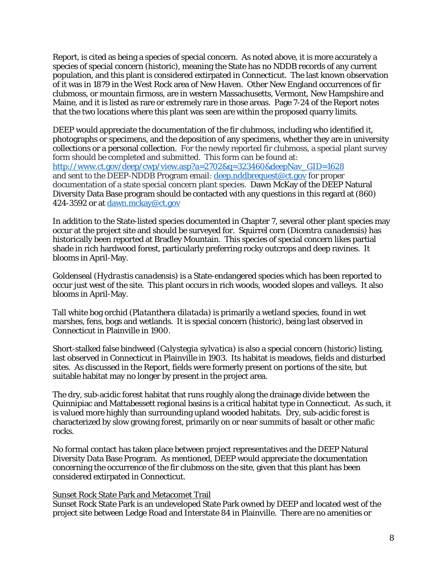Report, is cited as being a species of special concern. As noted above, it is more accurately a species of special concern (historic), meaning the State has no NDDB records of any current population, and this plant is considered extirpated in Connecticut. The last known observation of it was in 1879 in the West Rock area of New Haven. Other New England occurrences of fir clubmoss, or mountain firmoss, are in western Massachusetts, Vermont, New Hampshire and Maine, and it is listed as rare or extremely rare in those areas. Page 7-24 of the Report notes that the two locations where this plant was seen are within the proposed quarry limits.

DEEP would appreciate the documentation of the fir clubmoss, including who identified it, photographs or specimens, and the deposition of any specimens, whether they are in university collections or a personal collection. For the newly reported fir clubmoss, a special plant survey form should be completed and submitted. This form can be found at: http://www.ct.gov/deep/cwp/view.asp?a=2702&q=323460&deepNav\_GID=1628 and sent to the DEEP-NDDB Program email: deep.nddbrequest@ct.gov for proper documentation of a state special concern plant species. Dawn McKay of the DEEP Natural Diversity Data Base program should be contacted with any questions in this regard at (860) 424-3592 or at dawn.mckay@ct.gov

In addition to the State-listed species documented in Chapter 7, several other plant species may occur at the project site and should be surveyed for. Squirrel corn *(Dicentra canadensis)* has historically been reported at Bradley Mountain. This species of special concern likes partial shade in rich hardwood forest, particularly preferring rocky outcrops and deep ravines. It blooms in April-May.

Goldenseal *(Hydrastis canadensis)* is a State-endangered species which has been reported to occur just west of the site. This plant occurs in rich woods, wooded slopes and valleys. It also blooms in April-May.

Tall white bog orchid *(Platanthera dilatada)* is primarily a wetland species, found in wet marshes, fens, bogs and wetlands. It is special concern (historic), being last observed in Connecticut in Plainville in 1900.

Short-stalked false bindweed *(Calystegia sylvatica)* is also a special concern (historic) listing, last observed in Connecticut in Plainville in 1903. Its habitat is meadows, fields and disturbed sites. As discussed in the Report, fields were formerly present on portions of the site, but suitable habitat may no longer by present in the project area.

The dry, sub-acidic forest habitat that runs roughly along the drainage divide between the Quinnipiac and Mattabessett regional basins is a critical habitat type in Connecticut. As such, it is valued more highly than surrounding upland wooded habitats. Dry, sub-acidic forest is characterized by slow growing forest, primarily on or near summits of basalt or other mafic rocks.

No formal contact has taken place between project representatives and the DEEP Natural Diversity Data Base Program. As mentioned, DEEP would appreciate the documentation concerning the occurrence of the fir clubmoss on the site, given that this plant has been considered extirpated in Connecticut.

### Sunset Rock State Park and Metacomet Trail

Sunset Rock State Park is an undeveloped State Park owned by DEEP and located west of the project site between Ledge Road and Interstate 84 in Plainville. There are no amenities or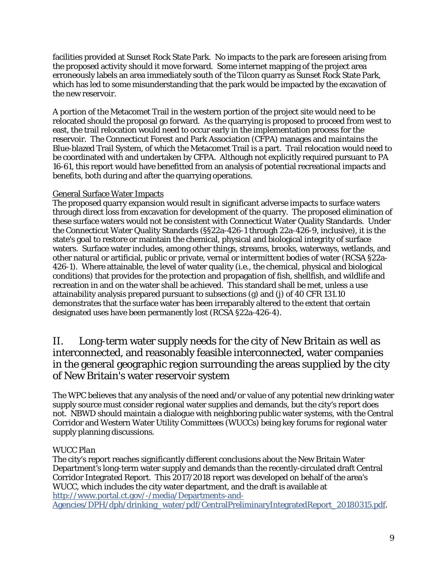facilities provided at Sunset Rock State Park. No impacts to the park are foreseen arising from the proposed activity should it move forward. Some internet mapping of the project area erroneously labels an area immediately south of the Tilcon quarry as Sunset Rock State Park, which has led to some misunderstanding that the park would be impacted by the excavation of the new reservoir.

A portion of the Metacomet Trail in the western portion of the project site would need to be relocated should the proposal go forward. As the quarrying is proposed to proceed from west to east, the trail relocation would need to occur early in the implementation process for the reservoir. The Connecticut Forest and Park Association (CFPA) manages and maintains the Blue-blazed Trail System, of which the Metacomet Trail is a part. Trail relocation would need to be coordinated with and undertaken by CFPA. Although not explicitly required pursuant to PA 16-61, this report would have benefitted from an analysis of potential recreational impacts and benefits, both during and after the quarrying operations.

## General Surface Water Impacts

The proposed quarry expansion would result in significant adverse impacts to surface waters through direct loss from excavation for development of the quarry. The proposed elimination of these surface waters would not be consistent with Connecticut Water Quality Standards. Under the Connecticut Water Quality Standards (§§22a-426-1 through 22a-426-9, inclusive), it is the state's goal to restore or maintain the chemical, physical and biological integrity of surface waters. Surface water includes, among other things, streams, brooks, waterways, wetlands, and other natural or artificial, public or private, vernal or intermittent bodies of water (RCSA §22a-426-1). Where attainable, the level of water quality (i.e., the chemical, physical and biological conditions) that provides for the protection and propagation of fish, shellfish, and wildlife and recreation in and on the water shall be achieved. This standard shall be met, unless a use attainability analysis prepared pursuant to subsections (g) and (j) of 40 CFR 131.10 demonstrates that the surface water has been irreparably altered to the extent that certain designated uses have been permanently lost (RCSA §22a-426-4).

## II. Long-term water supply needs for the city of New Britain as well as interconnected, and reasonably feasible interconnected, water companies in the general geographic region surrounding the areas supplied by the city of New Britain's water reservoir system

The WPC believes that any analysis of the need and/or value of any potential new drinking water supply source must consider regional water supplies and demands, but the city's report does not. NBWD should maintain a dialogue with neighboring public water systems, with the Central Corridor and Western Water Utility Committees (WUCCs) being key forums for regional water supply planning discussions.

## *WUCC Plan*

The city's report reaches significantly different conclusions about the New Britain Water Department's long-term water supply and demands than the recently-circulated draft Central Corridor Integrated Report. This 2017/2018 report was developed on behalf of the area's WUCC, which includes the city water department, and the draft is available at http://www.portal.ct.gov/-/media/Departments-and-Agencies/DPH/dph/drinking\_water/pdf/CentralPreliminaryIntegratedReport\_20180315.pdf.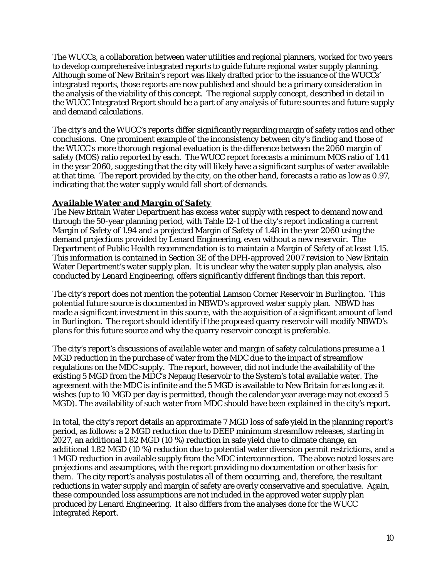The WUCCs, a collaboration between water utilities and regional planners, worked for two years to develop comprehensive integrated reports to guide future regional water supply planning. Although some of New Britain's report was likely drafted prior to the issuance of the WUCCs' integrated reports, those reports are now published and should be a primary consideration in the analysis of the viability of this concept. The regional supply concept, described in detail in the WUCC Integrated Report should be a part of any analysis of future sources and future supply and demand calculations.

The city's and the WUCC's reports differ significantly regarding margin of safety ratios and other conclusions. One prominent example of the inconsistency between city's finding and those of the WUCC's more thorough regional evaluation is the difference between the 2060 margin of safety (MOS) ratio reported by each. The WUCC report forecasts a minimum MOS ratio of 1.41 in the year 2060, suggesting that the city will likely have a significant surplus of water available at that time. The report provided by the city, on the other hand, forecasts a ratio as low as 0.97, indicating that the water supply would fall short of demands.

## *Available Water and Margin of Safety*

The New Britain Water Department has excess water supply with respect to demand now and through the 50-year planning period, with Table 12-1 of the city's report indicating a current Margin of Safety of 1.94 and a projected Margin of Safety of 1.48 in the year 2060 using the demand projections provided by Lenard Engineering, even without a new reservoir. The Department of Public Health recommendation is to maintain a Margin of Safety of at least 1.15. This information is contained in Section 3E of the DPH-approved 2007 revision to New Britain Water Department's water supply plan. It is unclear why the water supply plan analysis, also conducted by Lenard Engineering, offers significantly different findings than this report.

The city's report does not mention the potential Lamson Corner Reservoir in Burlington. This potential future source is documented in NBWD's approved water supply plan. NBWD has made a significant investment in this source, with the acquisition of a significant amount of land in Burlington. The report should identify if the proposed quarry reservoir will modify NBWD's plans for this future source and why the quarry reservoir concept is preferable.

The city's report's discussions of available water and margin of safety calculations presume a 1 MGD reduction in the purchase of water from the MDC due to the impact of streamflow regulations on the MDC supply. The report, however, did not include the availability of the existing 5 MGD from the MDC's Nepaug Reservoir to the System's total available water. The agreement with the MDC is infinite and the 5 MGD is available to New Britain for as long as it wishes (up to 10 MGD per day is permitted, though the calendar year average may not exceed 5 MGD). The availability of such water from MDC should have been explained in the city's report.

In total, the city's report details an approximate 7 MGD loss of safe yield in the planning report's period, as follows: a 2 MGD reduction due to DEEP minimum streamflow releases, starting in 2027, an additional 1.82 MGD (10 %) reduction in safe yield due to climate change, an additional 1.82 MGD (10 %) reduction due to potential water diversion permit restrictions, and a 1 MGD reduction in available supply from the MDC interconnection. The above noted losses are projections and assumptions, with the report providing no documentation or other basis for them. The city report's analysis postulates all of them occurring, and, therefore, the resultant reductions in water supply and margin of safety are overly conservative and speculative. Again, these compounded loss assumptions are not included in the approved water supply plan produced by Lenard Engineering. It also differs from the analyses done for the WUCC Integrated Report.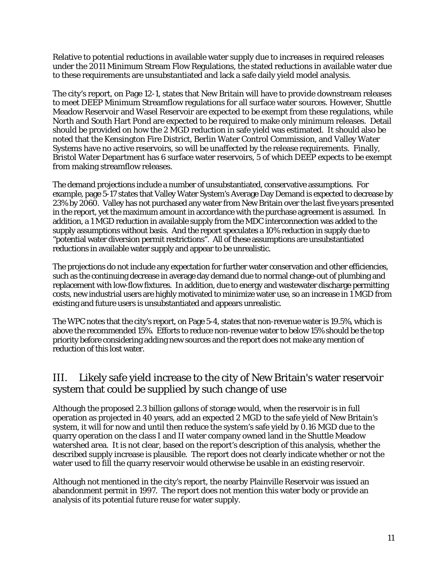Relative to potential reductions in available water supply due to increases in required releases under the 2011 Minimum Stream Flow Regulations, the stated reductions in available water due to these requirements are unsubstantiated and lack a safe daily yield model analysis.

The city's report, on Page 12-1, states that New Britain will have to provide downstream releases to meet DEEP Minimum Streamflow regulations for all surface water sources. However, Shuttle Meadow Reservoir and Wasel Reservoir are expected to be exempt from these regulations, while North and South Hart Pond are expected to be required to make only minimum releases. Detail should be provided on how the 2 MGD reduction in safe yield was estimated. It should also be noted that the Kensington Fire District, Berlin Water Control Commission, and Valley Water Systems have no active reservoirs, so will be unaffected by the release requirements. Finally, Bristol Water Department has 6 surface water reservoirs, 5 of which DEEP expects to be exempt from making streamflow releases.

The demand projections include a number of unsubstantiated, conservative assumptions. For example, page 5-17 states that Valley Water System's Average Day Demand is expected to decrease by 23% by 2060. Valley has not purchased any water from New Britain over the last five years presented in the report, yet the maximum amount in accordance with the purchase agreement is assumed. In addition, a 1 MGD reduction in available supply from the MDC interconnection was added to the supply assumptions without basis. And the report speculates a 10% reduction in supply due to "potential water diversion permit restrictions". All of these assumptions are unsubstantiated reductions in available water supply and appear to be unrealistic.

The projections do not include any expectation for further water conservation and other efficiencies, such as the continuing decrease in average day demand due to normal change-out of plumbing and replacement with low-flow fixtures. In addition, due to energy and wastewater discharge permitting costs, new industrial users are highly motivated to minimize water use, so an increase in 1 MGD from existing and future users is unsubstantiated and appears unrealistic.

The WPC notes that the city's report, on Page 5-4, states that non-revenue water is 19.5%, which is above the recommended 15%. Efforts to reduce non-revenue water to below 15% should be the top priority before considering adding new sources and the report does not make any mention of reduction of this lost water.

# III. Likely safe yield increase to the city of New Britain's water reservoir system that could be supplied by such change of use

Although the proposed 2.3 billion gallons of storage would, when the reservoir is in full operation as projected in 40 years, add an expected 2 MGD to the safe yield of New Britain's system, it will for now and until then reduce the system's safe yield by 0.16 MGD due to the quarry operation on the class I and II water company owned land in the Shuttle Meadow watershed area. It is not clear, based on the report's description of this analysis, whether the described supply increase is plausible. The report does not clearly indicate whether or not the water used to fill the quarry reservoir would otherwise be usable in an existing reservoir.

Although not mentioned in the city's report, the nearby Plainville Reservoir was issued an abandonment permit in 1997. The report does not mention this water body or provide an analysis of its potential future reuse for water supply.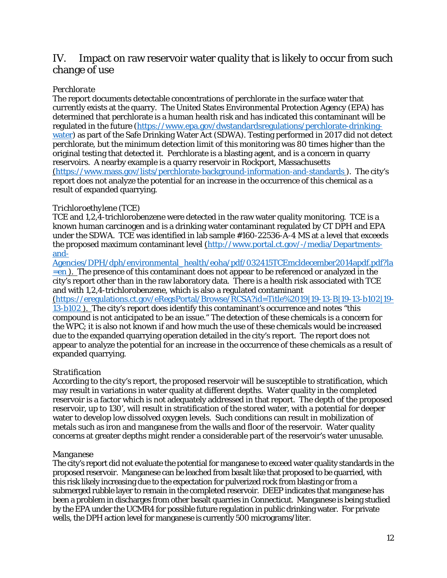## IV. Impact on raw reservoir water quality that is likely to occur from such change of use

## *Perchlorate*

The report documents detectable concentrations of perchlorate in the surface water that currently exists at the quarry. The United States Environmental Protection Agency (EPA) has determined that perchlorate is a human health risk and has indicated this contaminant will be regulated in the future (https://www.epa.gov/dwstandardsregulations/perchlorate-drinkingwater) as part of the Safe Drinking Water Act (SDWA). Testing performed in 2017 did not detect perchlorate, but the minimum detection limit of this monitoring was 80 times higher than the original testing that detected it. Perchlorate is a blasting agent, and is a concern in quarry reservoirs. A nearby example is a quarry reservoir in Rockport, Massachusetts (https://www.mass.gov/lists/perchlorate-background-information-and-standards ). The city's report does not analyze the potential for an increase in the occurrence of this chemical as a result of expanded quarrying.

## *Trichloroethylene (TCE)*

TCE and 1,2,4-trichlorobenzene were detected in the raw water quality monitoring. TCE is a known human carcinogen and is a drinking water contaminant regulated by CT DPH and EPA under the SDWA. TCE was identified in lab sample #160-22536-A-4 MS at a level that exceeds the proposed maximum contaminant level (http://www.portal.ct.gov/-/media/Departmentsand-

Agencies/DPH/dph/environmental\_health/eoha/pdf/032415TCEmcldecember2014apdf.pdf?la  $=$ en). The presence of this contaminant does not appear to be referenced or analyzed in the city's report other than in the raw laboratory data. There is a health risk associated with TCE and with 1,2,4-trichlorobenzene, which is also a regulated contaminant

(https://eregulations.ct.gov/eRegsPortal/Browse/RCSA?id=Title%2019|19-13-B|19-13-b102|19- 13-b102 ). The city's report does identify this contaminant's occurrence and notes "this compound is not anticipated to be an issue." The detection of these chemicals is a concern for the WPC; it is also not known if and how much the use of these chemicals would be increased due to the expanded quarrying operation detailed in the city's report. The report does not appear to analyze the potential for an increase in the occurrence of these chemicals as a result of expanded quarrying.

## *Stratification*

According to the city's report, the proposed reservoir will be susceptible to stratification, which may result in variations in water quality at different depths. Water quality in the completed reservoir is a factor which is not adequately addressed in that report. The depth of the proposed reservoir, up to 130', will result in stratification of the stored water, with a potential for deeper water to develop low dissolved oxygen levels. Such conditions can result in mobilization of metals such as iron and manganese from the walls and floor of the reservoir. Water quality concerns at greater depths might render a considerable part of the reservoir's water unusable.

## *Manganese*

The city's report did not evaluate the potential for manganese to exceed water quality standards in the proposed reservoir. Manganese can be leached from basalt like that proposed to be quarried, with this risk likely increasing due to the expectation for pulverized rock from blasting or from a submerged rubble layer to remain in the completed reservoir. DEEP indicates that manganese has been a problem in discharges from other basalt quarries in Connecticut. Manganese is being studied by the EPA under the UCMR4 for possible future regulation in public drinking water. For private wells, the DPH action level for manganese is currently 500 micrograms/liter.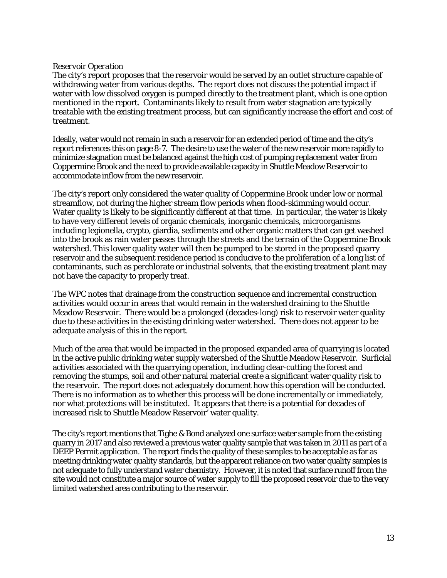#### *Reservoir Operation*

The city's report proposes that the reservoir would be served by an outlet structure capable of withdrawing water from various depths. The report does not discuss the potential impact if water with low dissolved oxygen is pumped directly to the treatment plant, which is one option mentioned in the report. Contaminants likely to result from water stagnation are typically treatable with the existing treatment process, but can significantly increase the effort and cost of treatment.

Ideally, water would not remain in such a reservoir for an extended period of time and the city's report references this on page 8-7. The desire to use the water of the new reservoir more rapidly to minimize stagnation must be balanced against the high cost of pumping replacement water from Coppermine Brook and the need to provide available capacity in Shuttle Meadow Reservoir to accommodate inflow from the new reservoir.

The city's report only considered the water quality of Coppermine Brook under low or normal streamflow, not during the higher stream flow periods when flood-skimming would occur. Water quality is likely to be significantly different at that time. In particular, the water is likely to have very different levels of organic chemicals, inorganic chemicals, microorganisms including legionella, crypto, giardia, sediments and other organic matters that can get washed into the brook as rain water passes through the streets and the terrain of the Coppermine Brook watershed. This lower quality water will then be pumped to be stored in the proposed quarry reservoir and the subsequent residence period is conducive to the proliferation of a long list of contaminants, such as perchlorate or industrial solvents, that the existing treatment plant may not have the capacity to properly treat.

The WPC notes that drainage from the construction sequence and incremental construction activities would occur in areas that would remain in the watershed draining to the Shuttle Meadow Reservoir. There would be a prolonged (decades-long) risk to reservoir water quality due to these activities in the existing drinking water watershed. There does not appear to be adequate analysis of this in the report.

Much of the area that would be impacted in the proposed expanded area of quarrying is located in the active public drinking water supply watershed of the Shuttle Meadow Reservoir. Surficial activities associated with the quarrying operation, including clear-cutting the forest and removing the stumps, soil and other natural material create a significant water quality risk to the reservoir. The report does not adequately document how this operation will be conducted. There is no information as to whether this process will be done incrementally or immediately, nor what protections will be instituted. It appears that there is a potential for decades of increased risk to Shuttle Meadow Reservoir' water quality.

The city's report mentions that Tighe & Bond analyzed one surface water sample from the existing quarry in 2017 and also reviewed a previous water quality sample that was taken in 2011 as part of a DEEP Permit application. The report finds the quality of these samples to be acceptable as far as meeting drinking water quality standards, but the apparent reliance on two water quality samples is not adequate to fully understand water chemistry. However, it is noted that surface runoff from the site would not constitute a major source of water supply to fill the proposed reservoir due to the very limited watershed area contributing to the reservoir.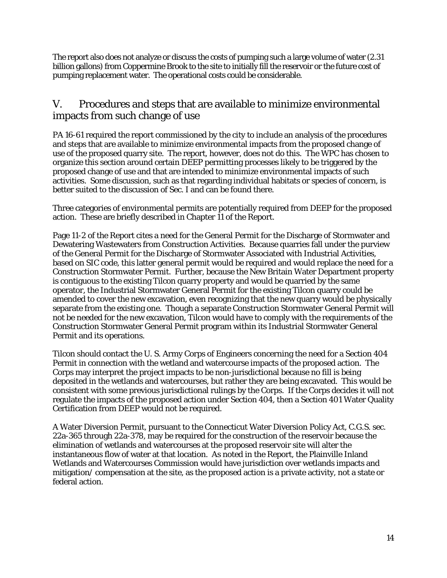The report also does not analyze or discuss the costs of pumping such a large volume of water (2.31 billion gallons) from Coppermine Brook to the site to initially fill the reservoir or the future cost of pumping replacement water. The operational costs could be considerable.

# V. Procedures and steps that are available to minimize environmental impacts from such change of use

PA 16-61 required the report commissioned by the city to include an analysis of the procedures and steps that are available to minimize environmental impacts from the proposed change of use of the proposed quarry site. The report, however, does not do this. The WPC has chosen to organize this section around certain DEEP permitting processes likely to be triggered by the proposed change of use and that are intended to minimize environmental impacts of such activities. Some discussion, such as that regarding individual habitats or species of concern, is better suited to the discussion of Sec. I and can be found there.

Three categories of environmental permits are potentially required from DEEP for the proposed action. These are briefly described in Chapter 11 of the Report.

Page 11-2 of the Report cites a need for the General Permit for the Discharge of Stormwater and Dewatering Wastewaters from Construction Activities. Because quarries fall under the purview of the General Permit for the Discharge of Stormwater Associated with Industrial Activities, based on SIC code, this latter general permit would be required and would replace the need for a Construction Stormwater Permit. Further, because the New Britain Water Department property is contiguous to the existing Tilcon quarry property and would be quarried by the same operator, the Industrial Stormwater General Permit for the existing Tilcon quarry could be amended to cover the new excavation, even recognizing that the new quarry would be physically separate from the existing one. Though a separate Construction Stormwater General Permit will not be needed for the new excavation, Tilcon would have to comply with the requirements of the Construction Stormwater General Permit program within its Industrial Stormwater General Permit and its operations.

Tilcon should contact the U. S. Army Corps of Engineers concerning the need for a Section 404 Permit in connection with the wetland and watercourse impacts of the proposed action. The Corps may interpret the project impacts to be non-jurisdictional because no fill is being deposited in the wetlands and watercourses, but rather they are being excavated. This would be consistent with some previous jurisdictional rulings by the Corps. If the Corps decides it will not regulate the impacts of the proposed action under Section 404, then a Section 401 Water Quality Certification from DEEP would not be required.

A Water Diversion Permit, pursuant to the Connecticut Water Diversion Policy Act, C.G.S. sec. 22a-365 through 22a-378, may be required for the construction of the reservoir because the elimination of wetlands and watercourses at the proposed reservoir site will alter the instantaneous flow of water at that location. As noted in the Report, the Plainville Inland Wetlands and Watercourses Commission would have jurisdiction over wetlands impacts and mitigation/ compensation at the site, as the proposed action is a private activity, not a state or federal action.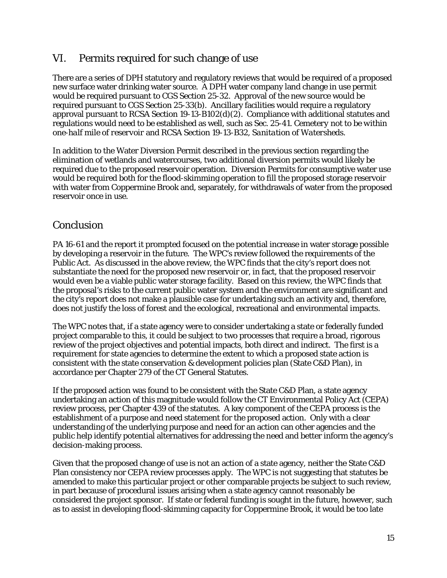# VI. Permits required for such change of use

There are a series of DPH statutory and regulatory reviews that would be required of a proposed new surface water drinking water source. A DPH water company land change in use permit would be required pursuant to CGS Section 25-32. Approval of the new source would be required pursuant to CGS Section 25-33(b). Ancillary facilities would require a regulatory approval pursuant to RCSA Section 19-13-B102(d)(2). Compliance with additional statutes and regulations would need to be established as well, such as Sec. 25-41. *Cemetery not to be within one-half mile of reservoir* and RCSA Section 19-13-B32, *Sanitation of Watersheds*.

In addition to the Water Diversion Permit described in the previous section regarding the elimination of wetlands and watercourses, two additional diversion permits would likely be required due to the proposed reservoir operation. Diversion Permits for consumptive water use would be required both for the flood-skimming operation to fill the proposed storage reservoir with water from Coppermine Brook and, separately, for withdrawals of water from the proposed reservoir once in use.

# Conclusion

PA 16-61 and the report it prompted focused on the potential increase in water storage possible by developing a reservoir in the future. The WPC's review followed the requirements of the Public Act. As discussed in the above review, the WPC finds that the city's report does not substantiate the need for the proposed new reservoir or, in fact, that the proposed reservoir would even be a viable public water storage facility. Based on this review, the WPC finds that the proposal's risks to the current public water system and the environment are significant and the city's report does not make a plausible case for undertaking such an activity and, therefore, does not justify the loss of forest and the ecological, recreational and environmental impacts.

The WPC notes that, if a state agency were to consider undertaking a state or federally funded project comparable to this, it could be subject to two processes that require a broad, rigorous review of the project objectives and potential impacts, both direct and indirect. The first is a requirement for state agencies to determine the extent to which a proposed state action is consistent with the state conservation & development policies plan (State C&D Plan), in accordance per Chapter 279 of the CT General Statutes.

If the proposed action was found to be consistent with the State C&D Plan, a state agency undertaking an action of this magnitude would follow the CT Environmental Policy Act (CEPA) review process, per Chapter 439 of the statutes. A key component of the CEPA process is the establishment of a purpose and need statement for the proposed action. Only with a clear understanding of the underlying purpose and need for an action can other agencies and the public help identify potential alternatives for addressing the need and better inform the agency's decision-making process.

Given that the proposed change of use is not an action of a state agency, neither the State C&D Plan consistency nor CEPA review processes apply. The WPC is not suggesting that statutes be amended to make this particular project or other comparable projects be subject to such review, in part because of procedural issues arising when a state agency cannot reasonably be considered the project sponsor. If state or federal funding is sought in the future, however, such as to assist in developing flood-skimming capacity for Coppermine Brook, it would be too late